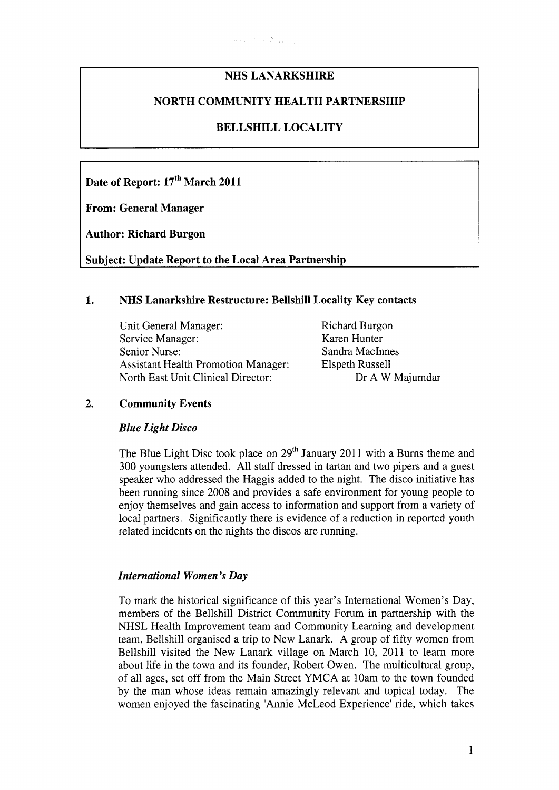# **NHS LANARKSHIRE**

## **NORTH COMMUNITY HEALTH PARTNERSHIP**

## **BELLSHILL LOCALITY**

Date of Report: 17<sup>th</sup> March 2011

**From: General Manager** 

**Author: Richard Burgon** 

**Subject: Update Report to the Local Area Partnership** 

### **1. NHS Lanarkshire Restructure: Bellshill Locality Key contacts**

| Unit General Manager:                      | <b>Richard Burgo</b> |
|--------------------------------------------|----------------------|
| Service Manager:                           | Karen Hunter         |
| Senior Nurse:                              | Sandra MacIn         |
| <b>Assistant Health Promotion Manager:</b> | <b>Elspeth Russe</b> |
| North East Unit Clinical Director:         | Dr A V               |

1 Burgon MacInnes Russell Dr A W Majumdar

### **2. Community Events**

#### *Blue Light Disco*

The Blue Light Disc took place on 29<sup>th</sup> January 2011 with a Burns theme and 300 youngsters attended. All staff dressed in tartan and two pipers and a guest speaker who addressed the Haggis added to the night. The disco initiative has been running since 2008 and provides a safe environment for young people to enjoy themselves and gain access to information and support from a variety of local partners. Significantly there is evidence of a reduction in reported youth related incidents on the nights the discos are running.

#### *International Women's Day*

To mark the historical significance of this year's International Women's Day, members of the Bellshill District Community Forum in partnership with the NHSL Health Improvement team and Community Learning and development team, Bellshill organised a trip to New Lanark. A group of fifty women from Bellshill visited the New Lanark village on March 10, 2011 to learn more about life in the town and its founder, Robert Owen. The multicultural group, of all ages, set off from the Main Street YMCA at 10am to the town founded by the man whose ideas remain amazingly relevant and topical today. The women enjoyed the fascinating 'Annie McLeod Experience' ride, which takes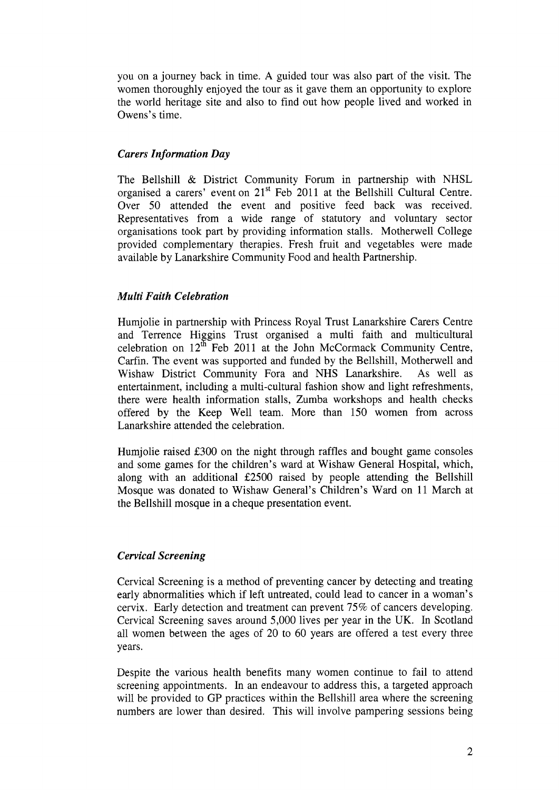you on a journey back in time. **A** guided tour was also part of the visit. The women thoroughly enjoyed the tour as it gave them an opportunity to explore the world heritage site and also to find out how people lived and worked in Owens's time.

## *Carers In formation Day*

The Bellshill & District Community Forum in partnership with NHSL organised a carers' event on 21<sup>st</sup> Feb 2011 at the Bellshill Cultural Centre. Over 50 attended the event and positive feed back was received. Representatives from a wide range of statutory and voluntary sector organisations took part by providing information stalls. Motherwell College provided complementary therapies. Fresh fruit and vegetables were made available by Lanarkshire Community Food and health Partnership.

## *Multi Faith Celebration*

Humjolie in partnership with Princess Royal Trust Lanarkshire Carers Centre and Terrence Higgins Trust organised a multi faith and multicultural celebration on  $12^{\text{th}}$  Feb 2011 at the John McCormack Community Centre, Carfin. The event was supported and funded by the Bellshill, Motherwell and Wishaw District Community Fora and NHS Lanarkshire. **As** well as entertainment, including a multi-cultural fashion show and light refreshments, there were health information stalls, Zumba workshops and health checks offered by the Keep Well team. More than 150 women from across Lanarkshire attended the celebration.

Humjolie raised E300 on the night through raffles and bought game consoles and some games for the children's ward at Wishaw General Hospital, which, along with an additional E2500 raised by people attending the Bellshill Mosque was donated to Wishaw General's Children's Ward on 11 March at the Bellshill mosque in a cheque presentation event.

# *Cervical Screening*

Cervical Screening is a method of preventing cancer by detecting and treating early abnormalities which if left untreated, could lead to cancer in a woman's cervix. Early detection and treatment can prevent 75% of cancers developing. Cervical Screening saves around 5,000 lives per year in the UK. In Scotland all women between the ages of 20 to 60 years are offered a test every three years.

Despite the various health benefits many women continue to fail to attend screening appointments. In an endeavour to address this, a targeted approach will be provided to GP practices within the Bellshill area where the screening numbers are lower than desired. This will involve pampering sessions being